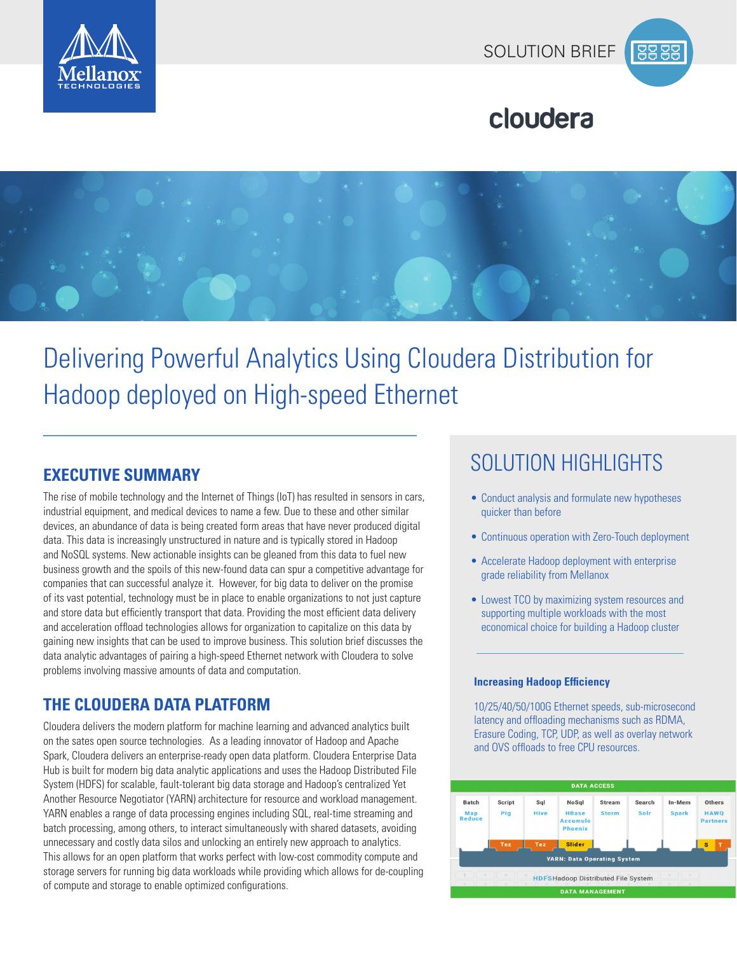



## cloudera



# Delivering Powerful Analytics Using Cloudera Distribution for Hadoop deployed on High-speed Ethernet

The rise of mobile technology and the Internet of Things (IoT) has resulted in sensors in cars, industrial equipment, and medical devices to name a few. Due to these and other similar devices, an abundance of data is being created form areas that have never produced digital data. This data is increasingly unstructured in nature and is typically stored in Hadoop and NoSQL systems. New actionable insights can be gleaned from this data to fuel new business growth and the spoils of this new-found data can spur a competitive advantage for companies that can successful analyze it. However, for big data to deliver on the promise of its vast potential, technology must be in place to enable organizations to not just capture and store data but efficiently transport that data. Providing the most efficient data delivery and acceleration offload technologies allows for organization to capitalize on this data by gaining new insights that can be used to improve business. This solution brief discusses the data analytic advantages of pairing a high-speed Ethernet network with Cloudera to solve problems involving massive amounts of data and computation.

#### **THE CLOUDERA DATA PLATFORM**

Cloudera delivers the modern platform for machine learning and advanced analytics built on the sates open source technologies. As a leading innovator of Hadoop and Apache Spark, Cloudera delivers an enterprise-ready open data platform. Cloudera Enterprise Data Hub is built for modern big data analytic applications and uses the Hadoop Distributed File System (HDFS) for scalable, fault-tolerant big data storage and Hadoop's centralized Yet Another Resource Negotiator (YARN) architecture for resource and workload management. YARN enables a range of data processing engines including SQL, real-time streaming and batch processing, among others, to interact simultaneously with shared datasets, avoiding unnecessary and costly data silos and unlocking an entirely new approach to analytics. This allows for an open platform that works perfect with low-cost commodity compute and storage servers for running big data workloads while providing which allows for de-coupling of compute and storage to enable optimized configurations.

# SOLUTION HIGHLIGHTS **EXECUTIVE SUMMARY**

- Conduct analysis and formulate new hypotheses quicker than before
- Continuous operation with Zero-Touch deployment
- Accelerate Hadoop deployment with enterprise grade reliability from Mellanox
- Lowest TCO by maximizing system resources and supporting multiple workloads with the most economical choice for building a Hadoop cluster

#### **Increasing Hadoop Efficiency**

10/25/40/50/100G Ethernet speeds, sub-microsecond latency and offloading mechanisms such as RDMA, Erasure Coding, TCP, UDP, as well as overlay network and OVS offloads to free CPU resources.